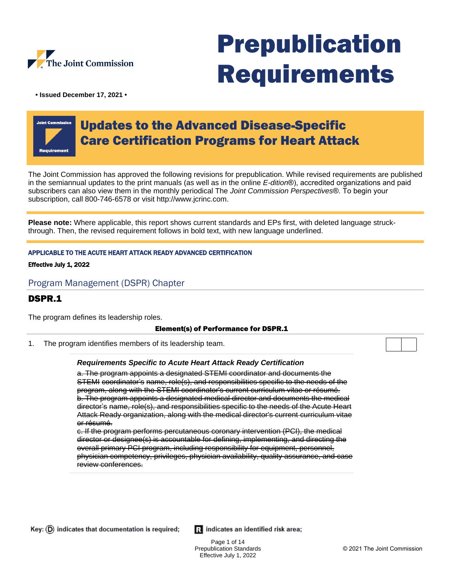

# Prepublication Requirements

**• Issued December 17, 2021 •**

## Updates to the Advanced Disease-Specific Care Certification Programs for Heart Attack

The Joint Commission has approved the following revisions for prepublication. While revised requirements are published in the semiannual updates to the print manuals (as well as in the online E-dition®), accredited organizations and paid subscribers can also view them in the monthly periodical The Joint Commission Perspectives®. To begin your subscription, call 800-746-6578 or visit http://www.jcrinc.com.

**Please note:** Where applicable, this report shows current standards and EPs first, with deleted language struckthrough. Then, the revised requirement follows in bold text, with new language underlined.

#### APPLICABLE TO THE ACUTE HEART ATTACK READY ADVANCED CERTIFICATION

#### Effective July 1, 2022

#### Program Management (DSPR) Chapter

## DSPR.1

The program defines its leadership roles.

#### Element(s) of Performance for DSPR.1

1. The program identifies members of its leadership team.

#### **Requirements Specific to Acute Heart Attack Ready Certification**

a. The program appoints a designated STEMI coordinator and documents the STEMI coordinator's name, role(s), and responsibilities specific to the needs of the program, along with the STEMI coordinator's current curriculum vitae or résumé. b. The program appoints a designated medical director and documents the medical director's name, role(s), and responsibilities specific to the needs of the Acute Heart Attack Ready organization, along with the medical director's current curriculum vitae or résumé.

c. If the program performs percutaneous coronary intervention (PCI), the medical director or designee(s) is accountable for defining, implementing, and directing the overall primary PCI program, including responsibility for equipment, personnel, physician competency, privileges, physician availability, quality assurance, and case review conferences.

Ri indicates an identified risk area;

Page 1 of 14 Prepublication Standards Effective July 1, 2022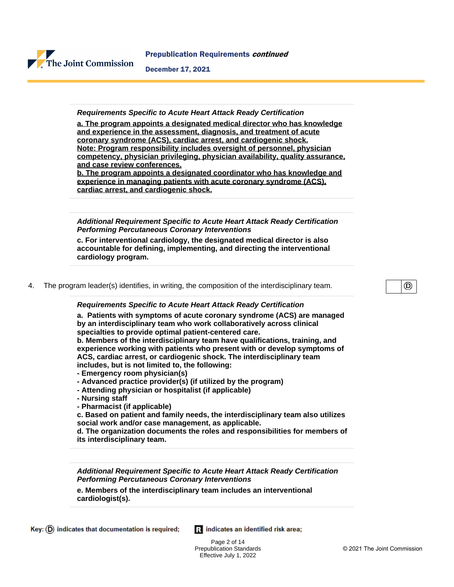

#### **Requirements Specific to Acute Heart Attack Ready Certification**

**a. The program appoints a designated medical director who has knowledge and experience in the assessment, diagnosis, and treatment of acute coronary syndrome (ACS), cardiac arrest, and cardiogenic shock. Note: Program responsibility includes oversight of personnel, physician competency, physician privileging, physician availability, quality assurance, and case review conferences.**

**b. The program appoints a designated coordinator who has knowledge and experience in managing patients with acute coronary syndrome (ACS), cardiac arrest, and cardiogenic shock.**

**Additional Requirement Specific to Acute Heart Attack Ready Certification Performing Percutaneous Coronary Interventions**

**c. For interventional cardiology, the designated medical director is also accountable for defining, implementing, and directing the interventional cardiology program.**

4. The program leader(s) identifies, in writing, the composition of the interdisciplinary team.

⊚

#### **Requirements Specific to Acute Heart Attack Ready Certification**

**a. Patients with symptoms of acute coronary syndrome (ACS) are managed by an interdisciplinary team who work collaboratively across clinical specialties to provide optimal patient-centered care.**

**b. Members of the interdisciplinary team have qualifications, training, and experience working with patients who present with or develop symptoms of ACS, cardiac arrest, or cardiogenic shock. The interdisciplinary team includes, but is not limited to, the following:**

- **Emergency room physician(s)**
- **Advanced practice provider(s) (if utilized by the program)**
- **Attending physician or hospitalist (if applicable)**
- **Nursing staff**
- **Pharmacist (if applicable)**

**c. Based on patient and family needs, the interdisciplinary team also utilizes social work and/or case management, as applicable.**

**d. The organization documents the roles and responsibilities for members of its interdisciplinary team.**

**Additional Requirement Specific to Acute Heart Attack Ready Certification Performing Percutaneous Coronary Interventions**

**e. Members of the interdisciplinary team includes an interventional cardiologist(s).**

Ri indicates an identified risk area;

Page 2 of 14 Prepublication Standards Effective July 1, 2022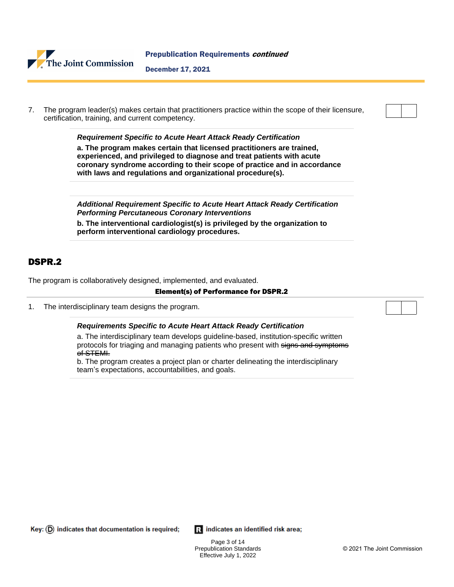

7. The program leader(s) makes certain that practitioners practice within the scope of their licensure, certification, training, and current competency.

> **Requirement Specific to Acute Heart Attack Ready Certification a. The program makes certain that licensed practitioners are trained, experienced, and privileged to diagnose and treat patients with acute coronary syndrome according to their scope of practice and in accordance with laws and regulations and organizational procedure(s).**

> **Additional Requirement Specific to Acute Heart Attack Ready Certification Performing Percutaneous Coronary Interventions**

**b. The interventional cardiologist(s) is privileged by the organization to perform interventional cardiology procedures.**

## DSPR.2

The program is collaboratively designed, implemented, and evaluated.

#### Element(s) of Performance for DSPR.2

1. The interdisciplinary team designs the program.

#### **Requirements Specific to Acute Heart Attack Ready Certification**

a. The interdisciplinary team develops guideline-based, institution-specific written protocols for triaging and managing patients who present with signs and symptoms of STEMI.

b. The program creates a project plan or charter delineating the interdisciplinary team's expectations, accountabilities, and goals.

Key:  $(D)$  indicates that documentation is required;

Ri indicates an identified risk area;

Page 3 of 14 Prepublication Standards Effective July 1, 2022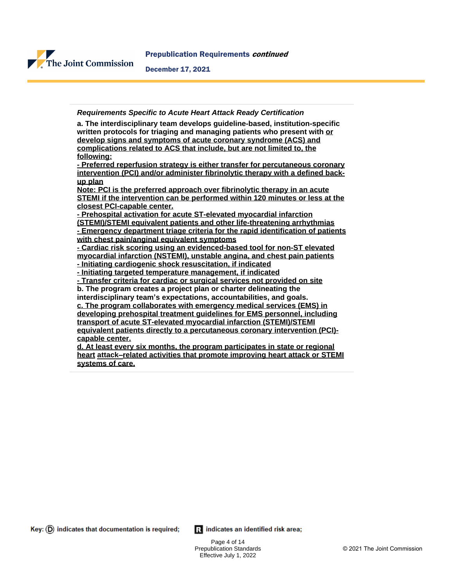

**Requirements Specific to Acute Heart Attack Ready Certification**

**a. The interdisciplinary team develops guideline-based, institution-specific written protocols for triaging and managing patients who present with or develop signs and symptoms of acute coronary syndrome (ACS) and complications related to ACS that include, but are not limited to, the following:**

**- Preferred reperfusion strategy is either transfer for percutaneous coronary intervention (PCI) and/or administer fibrinolytic therapy with a defined backup plan**

**Note: PCI is the preferred approach over fibrinolytic therapy in an acute STEMI if the intervention can be performed within 120 minutes or less at the closest PCI-capable center.**

**- Prehospital activation for acute ST-elevated myocardial infarction**

**(STEMI)/STEMI equivalent patients and other life-threatening arrhythmias - Emergency department triage criteria for the rapid identification of patients with chest pain/anginal equivalent symptoms**

**- Cardiac risk scoring using an evidenced-based tool for non-ST elevated myocardial infarction (NSTEMI), unstable angina, and chest pain patients - Initiating cardiogenic shock resuscitation, if indicated**

**- Initiating targeted temperature management, if indicated**

**- Transfer criteria for cardiac or surgical services not provided on site b. The program creates a project plan or charter delineating the**

**interdisciplinary team's expectations, accountabilities, and goals.**

**c. The program collaborates with emergency medical services (EMS) in developing prehospital treatment guidelines for EMS personnel, including transport of acute ST-elevated myocardial infarction (STEMI)/STEMI equivalent patients directly to a percutaneous coronary intervention (PCI) capable center.**

**d. At least every six months, the program participates in state or regional heart attack–related activities that promote improving heart attack or STEMI systems of care.**

 $Key: (D)$  indicates that documentation is required;

Ri indicates an identified risk area;

Page 4 of 14 Prepublication Standards Effective July 1, 2022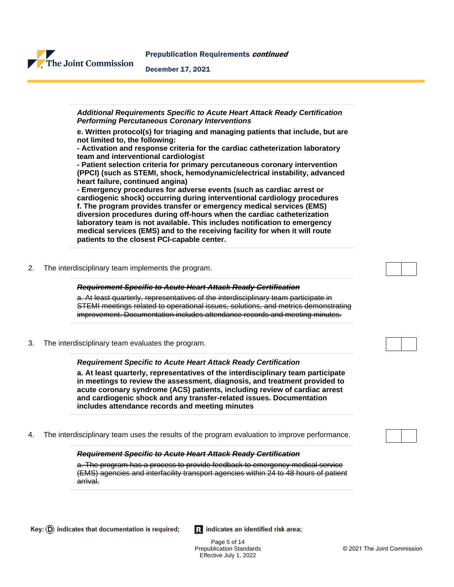



2. The interdisciplinary team implements the program.

The Joint Commission

#### **Requirement Specific to Acute Heart Attack Ready Certification**

a. At least quarterly, representatives of the interdisciplinary team participate in STEMI meetings related to operational issues, solutions, and metrics demonstrating improvement. Documentation includes attendance records and meeting minutes.

3. The interdisciplinary team evaluates the program.

#### **Requirement Specific to Acute Heart Attack Ready Certification**

**a. At least quarterly, representatives of the interdisciplinary team participate in meetings to review the assessment, diagnosis, and treatment provided to acute coronary syndrome (ACS) patients, including review of cardiac arrest and cardiogenic shock and any transfer-related issues. Documentation includes attendance records and meeting minutes**

4. The interdisciplinary team uses the results of the program evaluation to improve performance.

#### **Requirement Specific to Acute Heart Attack Ready Certification**

a. The program has a process to provide feedback to emergency medical service (EMS) agencies and interfacility transport agencies within 24 to 48 hours of patient arrival.

Ri indicates an identified risk area;

Page 5 of 14 Prepublication Standards Effective July 1, 2022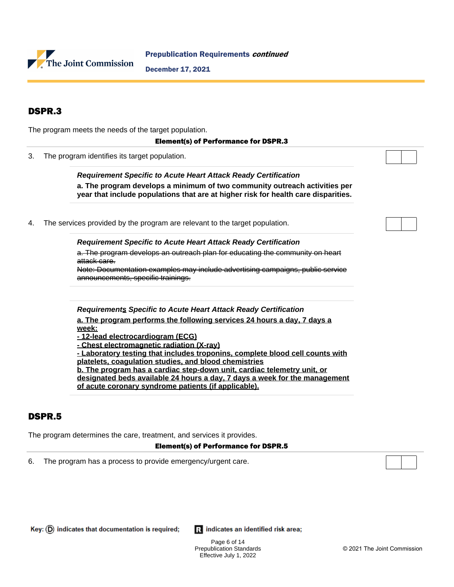

## DSPR.3

The program meets the needs of the target population.

#### Element(s) of Performance for DSPR.3

3. The program identifies its target population.

**Requirement Specific to Acute Heart Attack Ready Certification a. The program develops a minimum of two community outreach activities per year that include populations that are at higher risk for health care disparities.**

4. The services provided by the program are relevant to the target population.

**Requirement Specific to Acute Heart Attack Ready Certification**

a. The program develops an outreach plan for educating the community on heart attack care.

Note: Documentation examples may include advertising campaigns, public service announcements, specific trainings.

**Requirements Specific to Acute Heart Attack Ready Certification**

**a. The program performs the following services 24 hours a day, 7 days a week:**

- **12-lead electrocardiogram (ECG)**
- **Chest electromagnetic radiation (X-ray)**

**- Laboratory testing that includes troponins, complete blood cell counts with platelets, coagulation studies, and blood chemistries**

**b. The program has a cardiac step-down unit, cardiac telemetry unit, or designated beds available 24 hours a day, 7 days a week for the management of acute coronary syndrome patients (if applicable).**

## DSPR.5

The program determines the care, treatment, and services it provides.

#### Element(s) of Performance for DSPR.5

6. The program has a process to provide emergency/urgent care.



Ri indicates an identified risk area;

Page 6 of 14 Prepublication Standards Effective July 1, 2022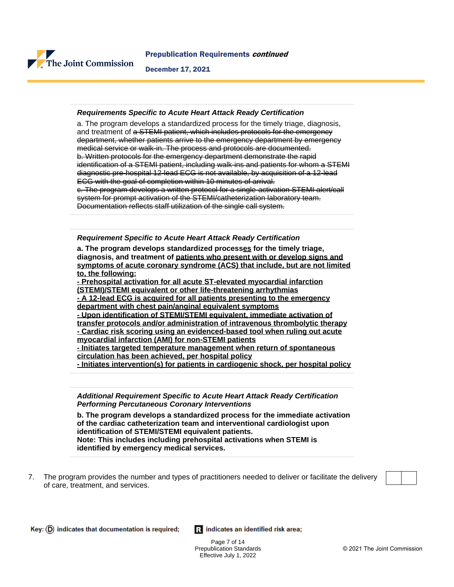

#### **Requirements Specific to Acute Heart Attack Ready Certification**

a. The program develops a standardized process for the timely triage, diagnosis, and treatment of a STEMI patient, which includes protocols for the emergency department, whether patients arrive to the emergency department by emergency medical service or walk-in. The process and protocols are documented. b. Written protocols for the emergency department demonstrate the rapid identification of a STEMI patient, including walk-ins and patients for whom a STEMI diagnostic pre-hospital 12-lead ECG is not available, by acquisition of a 12-lead ECG with the goal of completion within 10 minutes of arrival. c. The program develops a written protocol for a single-activation STEMI alert/call system for prompt activation of the STEMI/catheterization laboratory team. Documentation reflects staff utilization of the single call system.

#### **Requirement Specific to Acute Heart Attack Ready Certification**

**a. The program develops standardized processes for the timely triage, diagnosis, and treatment of patients who present with or develop signs and symptoms of acute coronary syndrome (ACS) that include, but are not limited to, the following:**

**- Prehospital activation for all acute ST-elevated myocardial infarction (STEMI)/STEMI equivalent or other life-threatening arrhythmias - A 12-lead ECG is acquired for all patients presenting to the emergency department with chest pain/anginal equivalent symptoms - Upon identification of STEMI/STEMI equivalent, immediate activation of transfer protocols and/or administration of intravenous thrombolytic therapy - Cardiac risk scoring using an evidenced-based tool when ruling out acute myocardial infarction (AMI) for non-STEMI patients - Initiates targeted temperature management when return of spontaneous**

**circulation has been achieved, per hospital policy**

**- Initiates intervention(s) for patients in cardiogenic shock, per hospital policy**

**Additional Requirement Specific to Acute Heart Attack Ready Certification Performing Percutaneous Coronary Interventions**

**b. The program develops a standardized process for the immediate activation of the cardiac catheterization team and interventional cardiologist upon identification of STEMI/STEMI equivalent patients. Note: This includes including prehospital activations when STEMI is identified by emergency medical services.**

7. The program provides the number and types of practitioners needed to deliver or facilitate the delivery of care, treatment, and services.

Ri indicates an identified risk area;

Page 7 of 14 Prepublication Standards Effective July 1, 2022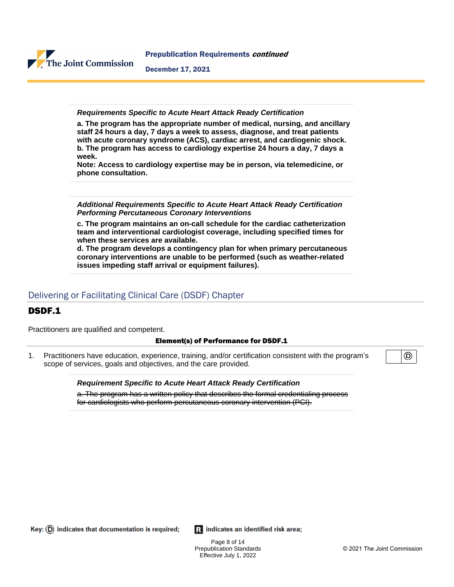

**Requirements Specific to Acute Heart Attack Ready Certification**

**a. The program has the appropriate number of medical, nursing, and ancillary staff 24 hours a day, 7 days a week to assess, diagnose, and treat patients with acute coronary syndrome (ACS), cardiac arrest, and cardiogenic shock. b. The program has access to cardiology expertise 24 hours a day, 7 days a week.**

**Note: Access to cardiology expertise may be in person, via telemedicine, or phone consultation.**

**Additional Requirements Specific to Acute Heart Attack Ready Certification Performing Percutaneous Coronary Interventions**

**c. The program maintains an on-call schedule for the cardiac catheterization team and interventional cardiologist coverage, including specified times for when these services are available.**

**d. The program develops a contingency plan for when primary percutaneous coronary interventions are unable to be performed (such as weather-related issues impeding staff arrival or equipment failures).**

## Delivering or Facilitating Clinical Care (DSDF) Chapter

## DSDF.1

Practitioners are qualified and competent.

#### Element(s) of Performance for DSDF.1

1. Practitioners have education, experience, training, and/or certification consistent with the program's scope of services, goals and objectives, and the care provided.

> **Requirement Specific to Acute Heart Attack Ready Certification** a. The program has a written policy that describes the formal credentialing process for cardiologists who perform percutaneous coronary intervention (PCI).

Key:  $(D)$  indicates that documentation is required;

Ri indicates an identified risk area;

Page 8 of 14 Prepublication Standards Effective July 1, 2022

◉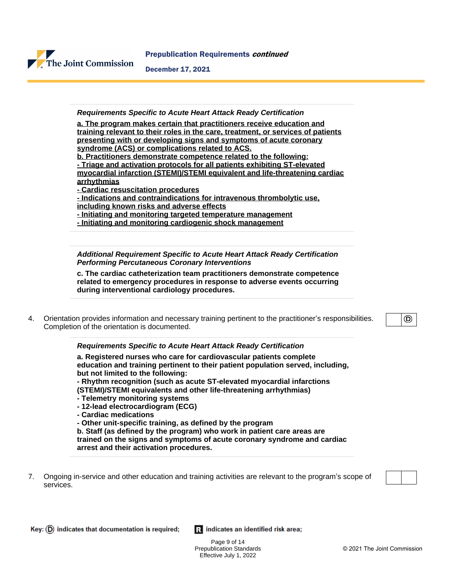

#### **Requirements Specific to Acute Heart Attack Ready Certification**

**a. The program makes certain that practitioners receive education and training relevant to their roles in the care, treatment, or services of patients presenting with or developing signs and symptoms of acute coronary syndrome (ACS) or complications related to ACS.**

**b. Practitioners demonstrate competence related to the following:**

**- Triage and activation protocols for all patients exhibiting ST-elevated myocardial infarction (STEMI)/STEMI equivalent and life-threatening cardiac arrhythmias**

**- Cardiac resuscitation procedures**

**- Indications and contraindications for intravenous thrombolytic use,**

**including known risks and adverse effects**

**- Initiating and monitoring targeted temperature management**

**- Initiating and monitoring cardiogenic shock management**

**Additional Requirement Specific to Acute Heart Attack Ready Certification Performing Percutaneous Coronary Interventions**

**c. The cardiac catheterization team practitioners demonstrate competence related to emergency procedures in response to adverse events occurring during interventional cardiology procedures.**

4. Orientation provides information and necessary training pertinent to the practitioner's responsibilities. Completion of the orientation is documented.

(D)

#### **Requirements Specific to Acute Heart Attack Ready Certification**

**a. Registered nurses who care for cardiovascular patients complete education and training pertinent to their patient population served, including, but not limited to the following:**

**- Rhythm recognition (such as acute ST-elevated myocardial infarctions (STEMI)/STEMI equivalents and other life-threatening arrhythmias)**

- **Telemetry monitoring systems**
- **12-lead electrocardiogram (ECG)**
- **Cardiac medications**

**- Other unit-specific training, as defined by the program**

**b. Staff (as defined by the program) who work in patient care areas are trained on the signs and symptoms of acute coronary syndrome and cardiac arrest and their activation procedures.**

7. Ongoing in-service and other education and training activities are relevant to the program's scope of services.



Ri indicates an identified risk area;

Page 9 of 14 Prepublication Standards Effective July 1, 2022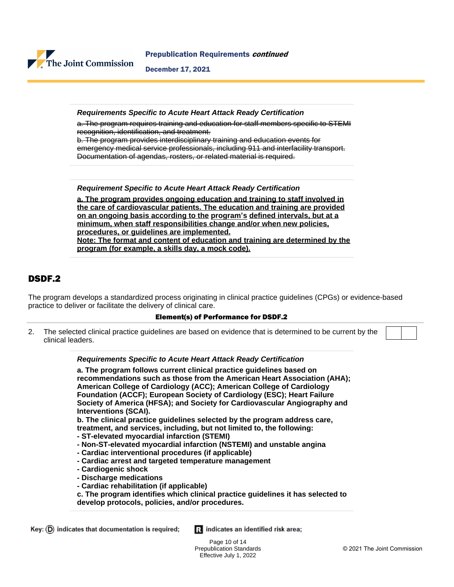

Prepublication Requirements continued

December 17, 2021

**Requirements Specific to Acute Heart Attack Ready Certification**

a. The program requires training and education for staff members specific to STEMI recognition, identification, and treatment.

b. The program provides interdisciplinary training and education events for emergency medical service professionals, including 911 and interfacility transport. Documentation of agendas, rosters, or related material is required.

**Requirement Specific to Acute Heart Attack Ready Certification**

**a. The program provides ongoing education and training to staff involved in the care of cardiovascular patients. The education and training are provided on an ongoing basis according to the program's defined intervals, but at a minimum, when staff responsibilities change and/or when new policies, procedures, or guidelines are implemented. Note: The format and content of education and training are determined by the program (for example, a skills day, a mock code).**

## DSDF.2

The program develops a standardized process originating in clinical practice guidelines (CPGs) or evidence-based practice to deliver or facilitate the delivery of clinical care.

#### Element(s) of Performance for DSDF.2

2. The selected clinical practice guidelines are based on evidence that is determined to be current by the clinical leaders.

> **Requirements Specific to Acute Heart Attack Ready Certification a. The program follows current clinical practice guidelines based on recommendations such as those from the American Heart Association (AHA); American College of Cardiology (ACC); American College of Cardiology Foundation (ACCF); European Society of Cardiology (ESC); Heart Failure Society of America (HFSA); and Society for Cardiovascular Angiography and Interventions (SCAI). b. The clinical practice guidelines selected by the program address care, treatment, and services, including, but not limited to, the following: - ST-elevated myocardial infarction (STEMI)**

- **Non-ST-elevated myocardial infarction (NSTEMI) and unstable angina**
- **Cardiac interventional procedures (if applicable)**
- **Cardiac arrest and targeted temperature management**
- **Cardiogenic shock**
- **Discharge medications**
- **Cardiac rehabilitation (if applicable)**
- **c. The program identifies which clinical practice guidelines it has selected to develop protocols, policies, and/or procedures.**

Ri indicates an identified risk area;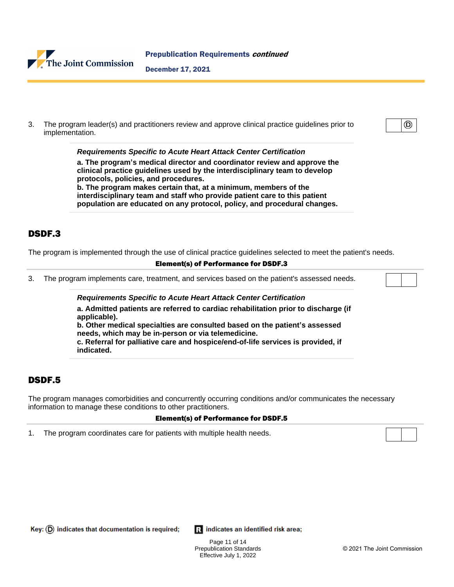

3. The program leader(s) and practitioners review and approve clinical practice guidelines prior to implementation.

**Requirements Specific to Acute Heart Attack Center Certification**

**a. The program's medical director and coordinator review and approve the clinical practice guidelines used by the interdisciplinary team to develop protocols, policies, and procedures. b. The program makes certain that, at a minimum, members of the**

**interdisciplinary team and staff who provide patient care to this patient population are educated on any protocol, policy, and procedural changes.**

## DSDF.3

The program is implemented through the use of clinical practice guidelines selected to meet the patient's needs.

#### Element(s) of Performance for DSDF.3

3. The program implements care, treatment, and services based on the patient's assessed needs.

**Requirements Specific to Acute Heart Attack Center Certification**

**a. Admitted patients are referred to cardiac rehabilitation prior to discharge (if applicable).**

**b. Other medical specialties are consulted based on the patient's assessed needs, which may be in-person or via telemedicine.**

**c. Referral for palliative care and hospice/end-of-life services is provided, if indicated.**

## DSDF.5

The program manages comorbidities and concurrently occurring conditions and/or communicates the necessary information to manage these conditions to other practitioners.

#### Element(s) of Performance for DSDF.5

1. The program coordinates care for patients with multiple health needs.

 $Key: (D)$  indicates that documentation is required;

Ri indicates an identified risk area;

Page 11 of 14 Prepublication Standards Effective July 1, 2022

⊚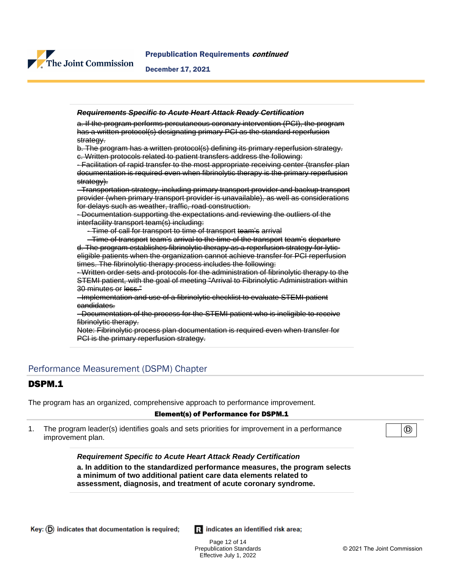

#### **Requirements Specific to Acute Heart Attack Ready Certification**

a. If the program performs percutaneous coronary intervention (PCI), the program has a written protocol(s) designating primary PCI as the standard reperfusion strategy.

b. The program has a written protocol(s) defining its primary reperfusion strategy. c. Written protocols related to patient transfers address the following:

- Facilitation of rapid transfer to the most appropriate receiving center (transfer plan documentation is required even when fibrinolytic therapy is the primary reperfusion strategy).

- Transportation strategy, including primary transport provider and backup transport provider (when primary transport provider is unavailable), as well as considerations for delays such as weather, traffic, road construction.

- Documentation supporting the expectations and reviewing the outliers of the interfacility transport team(s) including:

- Time of call for transport to time of transport team's arrival

 - Time of transport team's arrival to the time of the transport team's departure d. The program establishes fibrinolytic therapy as a reperfusion strategy for lyticeligible patients when the organization cannot achieve transfer for PCI reperfusion times. The fibrinolytic therapy process includes the following:

- Written order sets and protocols for the administration of fibrinolytic therapy to the STEMI patient, with the goal of meeting "Arrival to Fibrinolytic Administration within 30 minutes or less."

- Implementation and use of a fibrinolytic checklist to evaluate STEMI patient candidates.

- Documentation of the process for the STEMI patient who is ineligible to receive fibrinolytic therapy.

Note: Fibrinolytic process plan documentation is required even when transfer for PCI is the primary reperfusion strategy.

## Performance Measurement (DSPM) Chapter

## DSPM.1

The program has an organized, comprehensive approach to performance improvement.

#### Element(s) of Performance for DSPM.1

1. The program leader(s) identifies goals and sets priorities for improvement in a performance improvement plan.

(D)

**Requirement Specific to Acute Heart Attack Ready Certification**

**a. In addition to the standardized performance measures, the program selects a minimum of two additional patient care data elements related to assessment, diagnosis, and treatment of acute coronary syndrome.**

Page 12 of 14 Prepublication Standards Effective July 1, 2022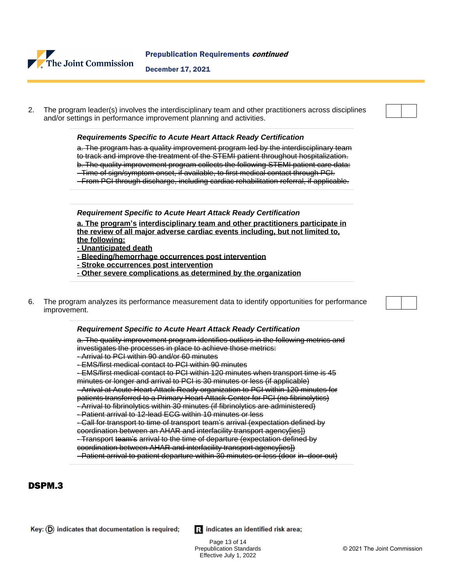

2. The program leader(s) involves the interdisciplinary team and other practitioners across disciplines and/or settings in performance improvement planning and activities.

#### **Requirements Specific to Acute Heart Attack Ready Certification**

a. The program has a quality improvement program led by the interdisciplinary team to track and improve the treatment of the STEMI patient throughout hospitalization. b. The quality improvement program collects the following STEMI patient care data: - Time of sign/symptom onset, if available, to first medical contact through PCI.

- From PCI through discharge, including cardiac rehabilitation referral, if applicable.

#### **Requirement Specific to Acute Heart Attack Ready Certification**

**a. The program's interdisciplinary team and other practitioners participate in the review of all major adverse cardiac events including, but not limited to, the following:**

**- Unanticipated death**

- **Bleeding/hemorrhage occurrences post intervention**
- **Stroke occurrences post intervention**
- **Other severe complications as determined by the organization**
- 6. The program analyzes its performance measurement data to identify opportunities for performance improvement.

#### **Requirement Specific to Acute Heart Attack Ready Certification**

a. The quality improvement program identifies outliers in the following metrics and investigates the processes in place to achieve those metrics: - Arrival to PCI within 90 and/or 60 minutes - EMS/first medical contact to PCI within 90 minutes - EMS/first medical contact to PCI within 120 minutes when transport time is 45

minutes or longer and arrival to PCI is 30 minutes or less (if applicable) - Arrival at Acute Heart Attack Ready organization to PCI within 120 minutes for patients transferred to a Primary Heart Attack Center for PCI (no fibrinolytics) - Arrival to fibrinolytics within 30 minutes (if fibrinolytics are administered)

- Patient arrival to 12-lead ECG within 10 minutes or less

- Call for transport to time of transport team's arrival (expectation defined by

coordination between an AHAR and interfacility transport agency[ies]) - Transport team's arrival to the time of departure (expectation defined by

coordination between AHAR and interfacility transport agency[ies])

- Patient arrival to patient departure within 30 minutes or less (door in–door out)

## DSPM.3

Ri indicates an identified risk area;

Page 13 of 14 Prepublication Standards Effective July 1, 2022